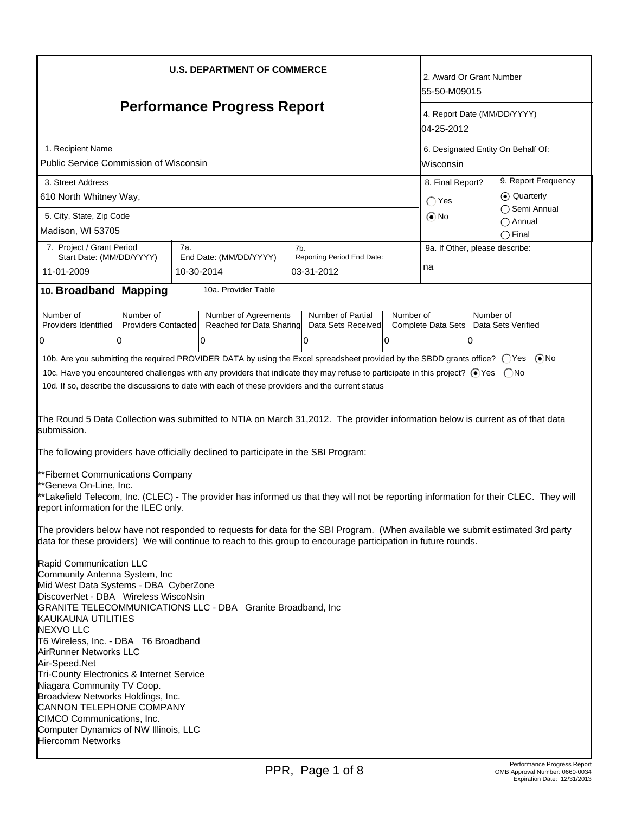| <b>U.S. DEPARTMENT OF COMMERCE</b><br><b>Performance Progress Report</b>                                                                                                                                                                                                                                                                                                                                                                                                                                                                                                                                                                                                                                                                                                                                                                                                                                                                                                                                                                                                                                                                                                                                                                                                                                                                                                                                                                                                                                                                                                       |                                                                                                                                                       |                                                          |                                                | 2. Award Or Grant Number<br>55-50-M09015<br>4. Report Date (MM/DD/YYYY)<br>04-25-2012 |                                                                                              |                                                             |  |
|--------------------------------------------------------------------------------------------------------------------------------------------------------------------------------------------------------------------------------------------------------------------------------------------------------------------------------------------------------------------------------------------------------------------------------------------------------------------------------------------------------------------------------------------------------------------------------------------------------------------------------------------------------------------------------------------------------------------------------------------------------------------------------------------------------------------------------------------------------------------------------------------------------------------------------------------------------------------------------------------------------------------------------------------------------------------------------------------------------------------------------------------------------------------------------------------------------------------------------------------------------------------------------------------------------------------------------------------------------------------------------------------------------------------------------------------------------------------------------------------------------------------------------------------------------------------------------|-------------------------------------------------------------------------------------------------------------------------------------------------------|----------------------------------------------------------|------------------------------------------------|---------------------------------------------------------------------------------------|----------------------------------------------------------------------------------------------|-------------------------------------------------------------|--|
|                                                                                                                                                                                                                                                                                                                                                                                                                                                                                                                                                                                                                                                                                                                                                                                                                                                                                                                                                                                                                                                                                                                                                                                                                                                                                                                                                                                                                                                                                                                                                                                |                                                                                                                                                       |                                                          |                                                |                                                                                       |                                                                                              | 1. Recipient Name<br>Public Service Commission of Wisconsin |  |
| 3. Street Address<br>610 North Whitney Way,                                                                                                                                                                                                                                                                                                                                                                                                                                                                                                                                                                                                                                                                                                                                                                                                                                                                                                                                                                                                                                                                                                                                                                                                                                                                                                                                                                                                                                                                                                                                    | $\bigcap$ Yes                                                                                                                                         | 9. Report Frequency<br>8. Final Report?<br>(•) Quarterly |                                                |                                                                                       |                                                                                              |                                                             |  |
| 5. City, State, Zip Code<br>Madison, WI 53705                                                                                                                                                                                                                                                                                                                                                                                                                                                                                                                                                                                                                                                                                                                                                                                                                                                                                                                                                                                                                                                                                                                                                                                                                                                                                                                                                                                                                                                                                                                                  | $\odot$ No                                                                                                                                            |                                                          | ◯ Semi Annual<br>C) Annual<br>$\bigcirc$ Final |                                                                                       |                                                                                              |                                                             |  |
| 7. Project / Grant Period<br>Start Date: (MM/DD/YYYY)<br>11-01-2009                                                                                                                                                                                                                                                                                                                                                                                                                                                                                                                                                                                                                                                                                                                                                                                                                                                                                                                                                                                                                                                                                                                                                                                                                                                                                                                                                                                                                                                                                                            | 7a.<br>End Date: (MM/DD/YYYY)<br>10-30-2014                                                                                                           | 7b.<br>Reporting Period End Date:<br>03-31-2012          | na                                             | 9a. If Other, please describe:                                                        |                                                                                              |                                                             |  |
| 10. Broadband Mapping                                                                                                                                                                                                                                                                                                                                                                                                                                                                                                                                                                                                                                                                                                                                                                                                                                                                                                                                                                                                                                                                                                                                                                                                                                                                                                                                                                                                                                                                                                                                                          | 10a. Provider Table                                                                                                                                   |                                                          |                                                |                                                                                       |                                                                                              |                                                             |  |
| Number of<br>Number of<br>Providers Identified<br>0<br>0                                                                                                                                                                                                                                                                                                                                                                                                                                                                                                                                                                                                                                                                                                                                                                                                                                                                                                                                                                                                                                                                                                                                                                                                                                                                                                                                                                                                                                                                                                                       | Number of Partial<br>Number of<br>Number of Agreements<br><b>Providers Contacted</b><br>Reached for Data Sharing<br>Data Sets Received<br>0<br>0<br>0 |                                                          |                                                |                                                                                       | Number of<br>Complete Data Sets<br>Data Sets Verified<br>10                                  |                                                             |  |
| 10c. Have you encountered challenges with any providers that indicate they may refuse to participate in this project? ⊙Yes  ONo<br>10d. If so, describe the discussions to date with each of these providers and the current status<br>The Round 5 Data Collection was submitted to NTIA on March 31,2012. The provider information below is current as of that data<br>submission.<br>The following providers have officially declined to participate in the SBI Program:<br>**Fibernet Communications Company<br>**Geneva On-Line, Inc.<br>**Lakefield Telecom, Inc. (CLEC) - The provider has informed us that they will not be reporting information for their CLEC. They will<br>report information for the ILEC only.<br>The providers below have not responded to requests for data for the SBI Program. (When available we submit estimated 3rd party<br>data for these providers) We will continue to reach to this group to encourage participation in future rounds.<br>Rapid Communication LLC<br>Community Antenna System, Inc<br>Mid West Data Systems - DBA CyberZone<br>DiscoverNet - DBA Wireless WiscoNsin<br>GRANITE TELECOMMUNICATIONS LLC - DBA Granite Broadband, Inc<br><b>KAUKAUNA UTILITIES</b><br><b>NEXVO LLC</b><br>T6 Wireless, Inc. - DBA T6 Broadband<br>AirRunner Networks LLC<br>Air-Speed.Net<br>Tri-County Electronics & Internet Service<br>Niagara Community TV Coop.<br>Broadview Networks Holdings, Inc.<br>CANNON TELEPHONE COMPANY<br>CIMCO Communications, Inc.<br>Computer Dynamics of NW Illinois, LLC<br><b>Hiercomm Networks</b> |                                                                                                                                                       |                                                          |                                                |                                                                                       |                                                                                              |                                                             |  |
|                                                                                                                                                                                                                                                                                                                                                                                                                                                                                                                                                                                                                                                                                                                                                                                                                                                                                                                                                                                                                                                                                                                                                                                                                                                                                                                                                                                                                                                                                                                                                                                |                                                                                                                                                       | PPR, Page 1 of 8                                         |                                                |                                                                                       | Performance Progress Report<br>OMB Approval Number: 0660-0034<br>Expiration Date: 12/31/2013 |                                                             |  |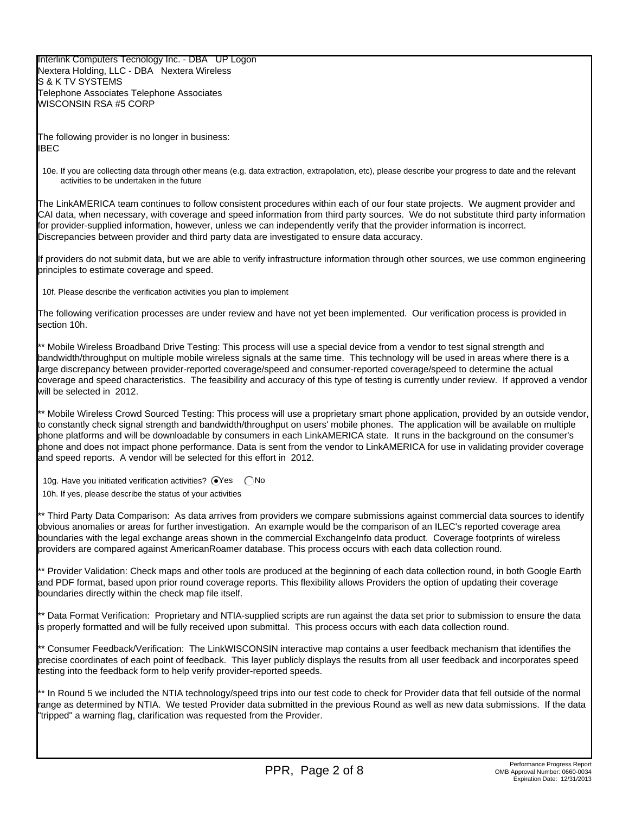Interlink Computers Tecnology Inc. - DBA UP Logon Nextera Holding, LLC - DBA Nextera Wireless S & K TV SYSTEMS Telephone Associates Telephone Associates WISCONSIN RSA #5 CORP

The following provider is no longer in business: IBEC

10e. If you are collecting data through other means (e.g. data extraction, extrapolation, etc), please describe your progress to date and the relevant activities to be undertaken in the future

The LinkAMERICA team continues to follow consistent procedures within each of our four state projects. We augment provider and CAI data, when necessary, with coverage and speed information from third party sources. We do not substitute third party information for provider-supplied information, however, unless we can independently verify that the provider information is incorrect. Discrepancies between provider and third party data are investigated to ensure data accuracy.

If providers do not submit data, but we are able to verify infrastructure information through other sources, we use common engineering principles to estimate coverage and speed.

10f. Please describe the verification activities you plan to implement

The following verification processes are under review and have not yet been implemented. Our verification process is provided in section 10h.

\*\* Mobile Wireless Broadband Drive Testing: This process will use a special device from a vendor to test signal strength and bandwidth/throughput on multiple mobile wireless signals at the same time. This technology will be used in areas where there is a large discrepancy between provider-reported coverage/speed and consumer-reported coverage/speed to determine the actual coverage and speed characteristics. The feasibility and accuracy of this type of testing is currently under review. If approved a vendor will be selected in 2012.

\*\* Mobile Wireless Crowd Sourced Testing: This process will use a proprietary smart phone application, provided by an outside vendor, to constantly check signal strength and bandwidth/throughput on users' mobile phones. The application will be available on multiple phone platforms and will be downloadable by consumers in each LinkAMERICA state. It runs in the background on the consumer's phone and does not impact phone performance. Data is sent from the vendor to LinkAMERICA for use in validating provider coverage and speed reports. A vendor will be selected for this effort in 2012.

10g. Have you initiated verification activities?  $\bigcirc$ Yes  $\bigcirc$ No 10h. If yes, please describe the status of your activities

\*\* Third Party Data Comparison: As data arrives from providers we compare submissions against commercial data sources to identify obvious anomalies or areas for further investigation. An example would be the comparison of an ILEC's reported coverage area boundaries with the legal exchange areas shown in the commercial ExchangeInfo data product. Coverage footprints of wireless providers are compared against AmericanRoamer database. This process occurs with each data collection round.

\*\* Provider Validation: Check maps and other tools are produced at the beginning of each data collection round, in both Google Earth and PDF format, based upon prior round coverage reports. This flexibility allows Providers the option of updating their coverage boundaries directly within the check map file itself.

\*\* Data Format Verification: Proprietary and NTIA-supplied scripts are run against the data set prior to submission to ensure the data is properly formatted and will be fully received upon submittal. This process occurs with each data collection round.

\*\* Consumer Feedback/Verification: The LinkWISCONSIN interactive map contains a user feedback mechanism that identifies the precise coordinates of each point of feedback. This layer publicly displays the results from all user feedback and incorporates speed testing into the feedback form to help verify provider-reported speeds.

\*\* In Round 5 we included the NTIA technology/speed trips into our test code to check for Provider data that fell outside of the normal range as determined by NTIA. We tested Provider data submitted in the previous Round as well as new data submissions. If the data "tripped" a warning flag, clarification was requested from the Provider.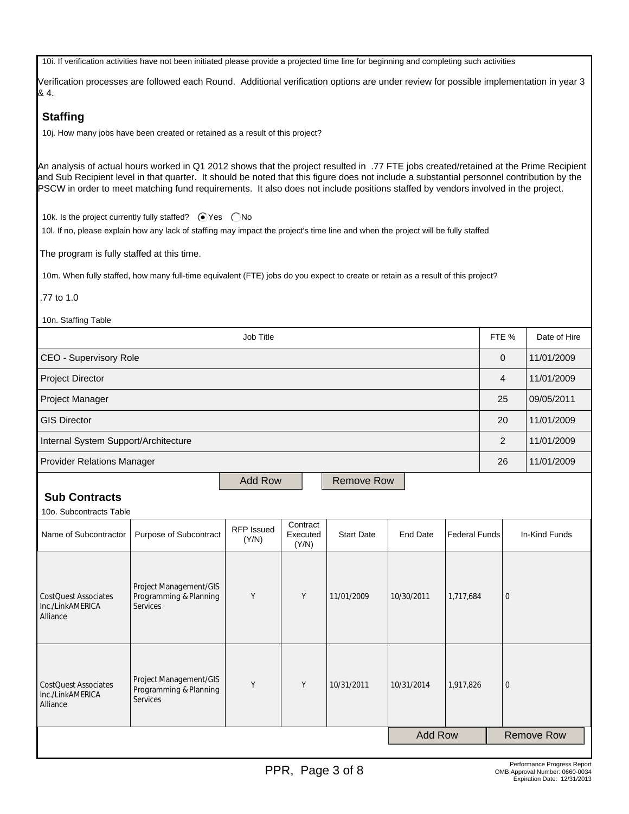10i. If verification activities have not been initiated please provide a projected time line for beginning and completing such activities

Verification processes are followed each Round. Additional verification options are under review for possible implementation in year 3 & 4.

#### **Staffing**

10j. How many jobs have been created or retained as a result of this project?

An analysis of actual hours worked in Q1 2012 shows that the project resulted in .77 FTE jobs created/retained at the Prime Recipient and Sub Recipient level in that quarter. It should be noted that this figure does not include a substantial personnel contribution by the PSCW in order to meet matching fund requirements. It also does not include positions staffed by vendors involved in the project.

10k. Is the project currently fully staffed?  $\bigcirc$  Yes  $\bigcirc$  No

10l. If no, please explain how any lack of staffing may impact the project's time line and when the project will be fully staffed

The program is fully staffed at this time.

10m. When fully staffed, how many full-time equivalent (FTE) jobs do you expect to create or retain as a result of this project?

.77 to 1.0

 10n. Staffing Table Job Title Form of Allen and the Second Library of Allen School (FTE %  $\,$  Date of Hire  $\,$ CEO - Supervisory Role 0 11/01/2009 Project Director 4 11/01/2009 Project Manager 25 09/05/2011 GIS Director 20 11/01/2009 Internal System Support/Architecture 2 11/01/2009 Provider Relations Manager 26 11/01/2009 Add Row | Remove Row

# **Sub Contracts**

10o. Subcontracts Table

| Name of Subcontractor                                       | Purpose of Subcontract                                              | <b>RFP Issued</b><br>(Y/N) | Contract<br>Executed<br>(Y/N) | <b>Start Date</b> | End Date       | Federal Funds | In-Kind Funds     |
|-------------------------------------------------------------|---------------------------------------------------------------------|----------------------------|-------------------------------|-------------------|----------------|---------------|-------------------|
| <b>CostQuest Associates</b><br>Inc./LinkAMERICA<br>Alliance | Project Management/GIS<br>Programming & Planning<br>Services        | Y                          | Y                             | 11/01/2009        | 10/30/2011     | 1,717,684     | 10                |
| <b>CostQuest Associates</b><br>Inc./LinkAMERICA<br>Alliance | Project Management/GIS<br>Programming & Planning<br><b>Services</b> | Y                          | Y                             | 10/31/2011        | 10/31/2014     | 1,917,826     | $\overline{0}$    |
|                                                             |                                                                     |                            |                               |                   | <b>Add Row</b> |               | <b>Remove Row</b> |
|                                                             |                                                                     |                            |                               |                   |                |               |                   |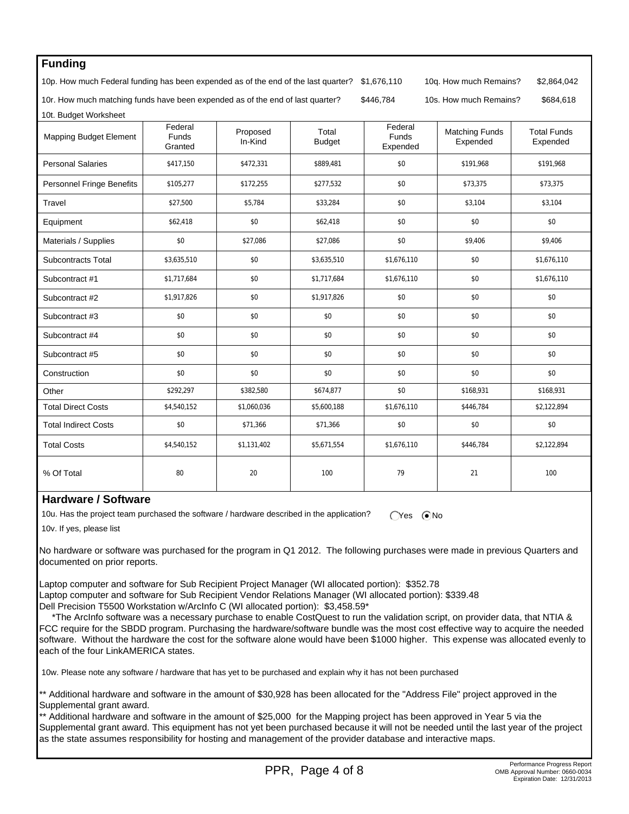| <b>Funding</b>                                                                     |                                    |                        |                        |                                     |                                   |                                |  |
|------------------------------------------------------------------------------------|------------------------------------|------------------------|------------------------|-------------------------------------|-----------------------------------|--------------------------------|--|
| 10p. How much Federal funding has been expended as of the end of the last quarter? | \$1,676,110                        | 10q. How much Remains? | \$2,864,042            |                                     |                                   |                                |  |
| 10r. How much matching funds have been expended as of the end of last quarter?     |                                    | \$446,784              | 10s. How much Remains? | \$684,618                           |                                   |                                |  |
| 10t. Budget Worksheet                                                              |                                    |                        |                        |                                     |                                   |                                |  |
| <b>Mapping Budget Element</b>                                                      | Federal<br><b>Funds</b><br>Granted | Proposed<br>In-Kind    | Total<br><b>Budget</b> | Federal<br><b>Funds</b><br>Expended | <b>Matching Funds</b><br>Expended | <b>Total Funds</b><br>Expended |  |
| <b>Personal Salaries</b>                                                           | \$417,150                          | \$472,331              | \$889.481              | \$0                                 | \$191,968                         | \$191,968                      |  |
| Personnel Fringe Benefits                                                          | \$105,277                          | \$172,255              | \$277,532              | \$0                                 | \$73,375                          | \$73,375                       |  |
| Travel                                                                             | \$27,500                           | \$5,784                | \$33,284               | \$0                                 | \$3,104                           | \$3,104                        |  |
| Equipment                                                                          | \$62,418                           | \$0                    | \$62,418               | \$0                                 | \$0                               | \$0                            |  |
| Materials / Supplies                                                               | \$0                                | \$27,086               | \$27,086               | \$0                                 | \$9,406                           | \$9,406                        |  |
| <b>Subcontracts Total</b>                                                          | \$3.635.510                        | \$0                    | \$3,635,510            | \$1.676.110                         | \$0                               | \$1,676.110                    |  |
| Subcontract #1                                                                     | \$1,717,684                        | \$0                    | \$1,717,684            | \$1,676,110                         | \$0                               | \$1,676,110                    |  |
| Subcontract #2                                                                     | \$1,917,826                        | \$0                    | \$1,917,826            | \$0                                 | \$0                               | \$0                            |  |
| Subcontract #3                                                                     | \$0                                | \$0                    | \$0                    | \$0                                 | \$0                               | \$0                            |  |
| Subcontract #4                                                                     | \$0                                | \$0                    | \$0                    | \$0                                 | \$0                               | \$0                            |  |
| Subcontract #5                                                                     | \$0                                | \$0                    | \$0                    | \$0                                 | \$0                               | \$0                            |  |
| Construction                                                                       | \$0                                | \$0                    | \$0                    | \$0                                 | \$0                               | \$0                            |  |
| Other                                                                              | \$292,297                          | \$382,580              | \$674,877              | \$0                                 | \$168,931                         | \$168,931                      |  |
| <b>Total Direct Costs</b>                                                          | \$4,540,152                        | \$1,060,036            | \$5,600,188            | \$1,676,110                         | \$446,784                         | \$2,122,894                    |  |
| <b>Total Indirect Costs</b>                                                        | \$0                                | \$71,366               | \$71,366               | \$0                                 | \$0                               | \$0                            |  |
| <b>Total Costs</b>                                                                 | \$4,540,152                        | \$1,131,402            | \$5,671,554            | \$1,676,110                         | \$446,784                         | \$2,122,894                    |  |
| % Of Total                                                                         | 80                                 | 20                     | 100                    | 79                                  | 21                                | 100                            |  |

#### **Hardware / Software**

10u. Has the project team purchased the software / hardware described in the application?  $\bigcirc$ Yes  $\bigcirc$ No

10v. If yes, please list

No hardware or software was purchased for the program in Q1 2012. The following purchases were made in previous Quarters and documented on prior reports.

Laptop computer and software for Sub Recipient Project Manager (WI allocated portion): \$352.78 Laptop computer and software for Sub Recipient Vendor Relations Manager (WI allocated portion): \$339.48 Dell Precision T5500 Workstation w/ArcInfo C (WI allocated portion): \$3,458.59\*

 \*The ArcInfo software was a necessary purchase to enable CostQuest to run the validation script, on provider data, that NTIA & FCC require for the SBDD program. Purchasing the hardware/software bundle was the most cost effective way to acquire the needed software. Without the hardware the cost for the software alone would have been \$1000 higher. This expense was allocated evenly to each of the four LinkAMERICA states.

10w. Please note any software / hardware that has yet to be purchased and explain why it has not been purchased

\*\* Additional hardware and software in the amount of \$30,928 has been allocated for the "Address File" project approved in the Supplemental grant award.

\*\* Additional hardware and software in the amount of \$25,000 for the Mapping project has been approved in Year 5 via the Supplemental grant award. This equipment has not yet been purchased because it will not be needed until the last year of the project as the state assumes responsibility for hosting and management of the provider database and interactive maps.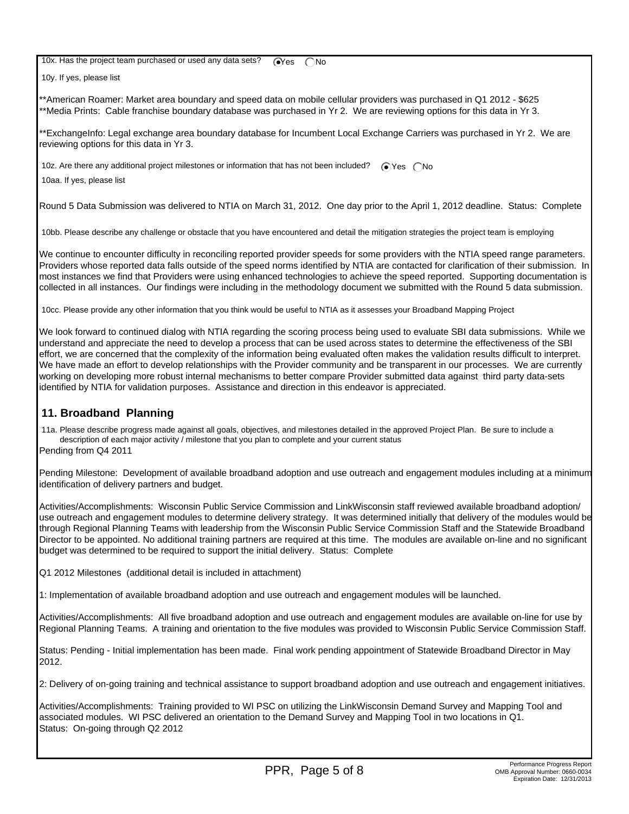10x. Has the project team purchased or used any data sets?  $\bigcirc$ Yes  $\bigcirc$  No

10y. If yes, please list

\*\*American Roamer: Market area boundary and speed data on mobile cellular providers was purchased in Q1 2012 - \$625 \*\*Media Prints: Cable franchise boundary database was purchased in Yr 2. We are reviewing options for this data in Yr 3.

\*\*ExchangeInfo: Legal exchange area boundary database for Incumbent Local Exchange Carriers was purchased in Yr 2. We are reviewing options for this data in Yr 3.

10z. Are there any additional project milestones or information that has not been included?  $\bigcirc$  Yes  $\bigcirc$  No

10aa. If yes, please list

Round 5 Data Submission was delivered to NTIA on March 31, 2012. One day prior to the April 1, 2012 deadline. Status: Complete

10bb. Please describe any challenge or obstacle that you have encountered and detail the mitigation strategies the project team is employing

We continue to encounter difficulty in reconciling reported provider speeds for some providers with the NTIA speed range parameters. Providers whose reported data falls outside of the speed norms identified by NTIA are contacted for clarification of their submission. In most instances we find that Providers were using enhanced technologies to achieve the speed reported. Supporting documentation is collected in all instances. Our findings were including in the methodology document we submitted with the Round 5 data submission.

10cc. Please provide any other information that you think would be useful to NTIA as it assesses your Broadband Mapping Project

We look forward to continued dialog with NTIA regarding the scoring process being used to evaluate SBI data submissions. While we understand and appreciate the need to develop a process that can be used across states to determine the effectiveness of the SBI effort, we are concerned that the complexity of the information being evaluated often makes the validation results difficult to interpret. We have made an effort to develop relationships with the Provider community and be transparent in our processes. We are currently working on developing more robust internal mechanisms to better compare Provider submitted data against third party data-sets identified by NTIA for validation purposes. Assistance and direction in this endeavor is appreciated.

# **11. Broadband Planning**

 11a. Please describe progress made against all goals, objectives, and milestones detailed in the approved Project Plan. Be sure to include a description of each major activity / milestone that you plan to complete and your current status Pending from Q4 2011

Pending Milestone: Development of available broadband adoption and use outreach and engagement modules including at a minimum identification of delivery partners and budget.

Activities/Accomplishments: Wisconsin Public Service Commission and LinkWisconsin staff reviewed available broadband adoption/ use outreach and engagement modules to determine delivery strategy. It was determined initially that delivery of the modules would be through Regional Planning Teams with leadership from the Wisconsin Public Service Commission Staff and the Statewide Broadband Director to be appointed. No additional training partners are required at this time. The modules are available on-line and no significant budget was determined to be required to support the initial delivery. Status: Complete

Q1 2012 Milestones (additional detail is included in attachment)

1: Implementation of available broadband adoption and use outreach and engagement modules will be launched.

Activities/Accomplishments: All five broadband adoption and use outreach and engagement modules are available on-line for use by Regional Planning Teams. A training and orientation to the five modules was provided to Wisconsin Public Service Commission Staff.

Status: Pending - Initial implementation has been made. Final work pending appointment of Statewide Broadband Director in May 2012.

2: Delivery of on-going training and technical assistance to support broadband adoption and use outreach and engagement initiatives.

Activities/Accomplishments: Training provided to WI PSC on utilizing the LinkWisconsin Demand Survey and Mapping Tool and associated modules. WI PSC delivered an orientation to the Demand Survey and Mapping Tool in two locations in Q1. Status: On-going through Q2 2012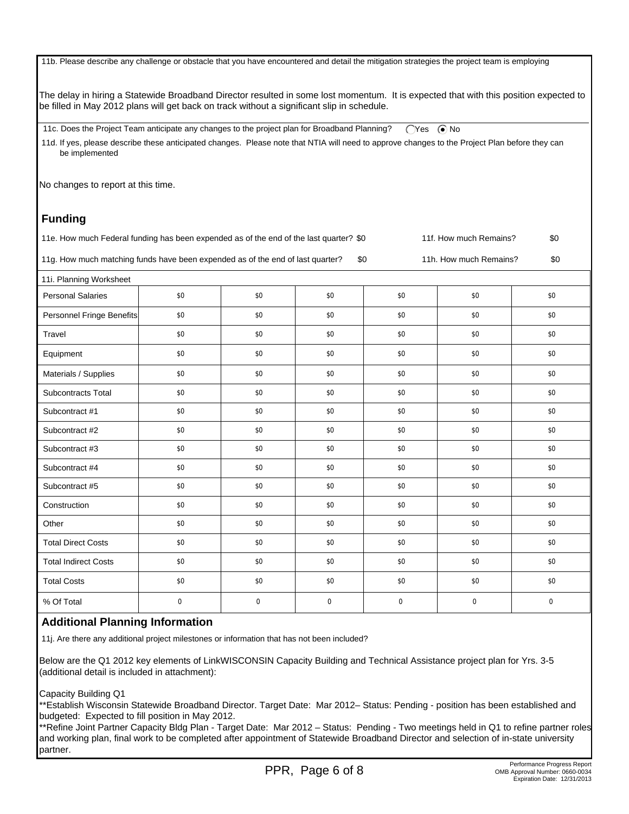11b. Please describe any challenge or obstacle that you have encountered and detail the mitigation strategies the project team is employing

The delay in hiring a Statewide Broadband Director resulted in some lost momentum. It is expected that with this position expected to be filled in May 2012 plans will get back on track without a significant slip in schedule.

11c. Does the Project Team anticipate any changes to the project plan for Broadband Planning?  $\bigcirc$ Yes  $\bigcirc$ No 11d. If yes, please describe these anticipated changes. Please note that NTIA will need to approve changes to the Project Plan before they can be implemented

No changes to report at this time.

# **Funding**

11e. How much Federal funding has been expended as of the end of the last quarter? \$0 11f. How much Remains? \$0 11g. How much matching funds have been expended as of the end of last quarter? \$0 11h. How much Remains? \$0

| 11i. Planning Worksheet     |     |     |             |             |             |             |
|-----------------------------|-----|-----|-------------|-------------|-------------|-------------|
| <b>Personal Salaries</b>    | \$0 | \$0 | \$0         | \$0         | \$0         | \$0         |
| Personnel Fringe Benefits   | \$0 | \$0 | \$0         | \$0         | \$0         | \$0         |
| Travel                      | \$0 | \$0 | \$0         | \$0         | \$0         | \$0         |
| Equipment                   | \$0 | \$0 | \$0         | \$0         | \$0         | \$0         |
| Materials / Supplies        | \$0 | \$0 | \$0         | \$0         | \$0         | \$0         |
| Subcontracts Total          | \$0 | \$0 | \$0         | \$0         | \$0         | \$0         |
| Subcontract #1              | \$0 | \$0 | \$0         | \$0         | \$0         | \$0         |
| Subcontract #2              | \$0 | \$0 | \$0         | \$0         | \$0         | \$0         |
| Subcontract #3              | \$0 | \$0 | \$0         | \$0         | \$0         | \$0         |
| Subcontract #4              | \$0 | \$0 | \$0         | \$0         | \$0         | \$0         |
| Subcontract #5              | \$0 | \$0 | \$0         | \$0         | \$0         | \$0         |
| Construction                | \$0 | \$0 | \$0         | \$0         | \$0         | \$0         |
| Other                       | \$0 | \$0 | \$0         | \$0         | \$0         | \$0         |
| <b>Total Direct Costs</b>   | \$0 | \$0 | \$0         | \$0         | \$0         | \$0         |
| <b>Total Indirect Costs</b> | \$0 | \$0 | \$0         | \$0         | \$0         | \$0         |
| <b>Total Costs</b>          | \$0 | \$0 | \$0         | \$0         | \$0         | \$0         |
| % Of Total                  | 0   | 0   | $\mathbf 0$ | $\mathbf 0$ | $\mathbf 0$ | $\mathbf 0$ |

#### **Additional Planning Information**

11j. Are there any additional project milestones or information that has not been included?

Below are the Q1 2012 key elements of LinkWISCONSIN Capacity Building and Technical Assistance project plan for Yrs. 3-5 (additional detail is included in attachment):

Capacity Building Q1

\*\*Establish Wisconsin Statewide Broadband Director. Target Date: Mar 2012– Status: Pending - position has been established and budgeted: Expected to fill position in May 2012.

\*\*Refine Joint Partner Capacity Bldg Plan - Target Date: Mar 2012 – Status: Pending - Two meetings held in Q1 to refine partner roles and working plan, final work to be completed after appointment of Statewide Broadband Director and selection of in-state university partner.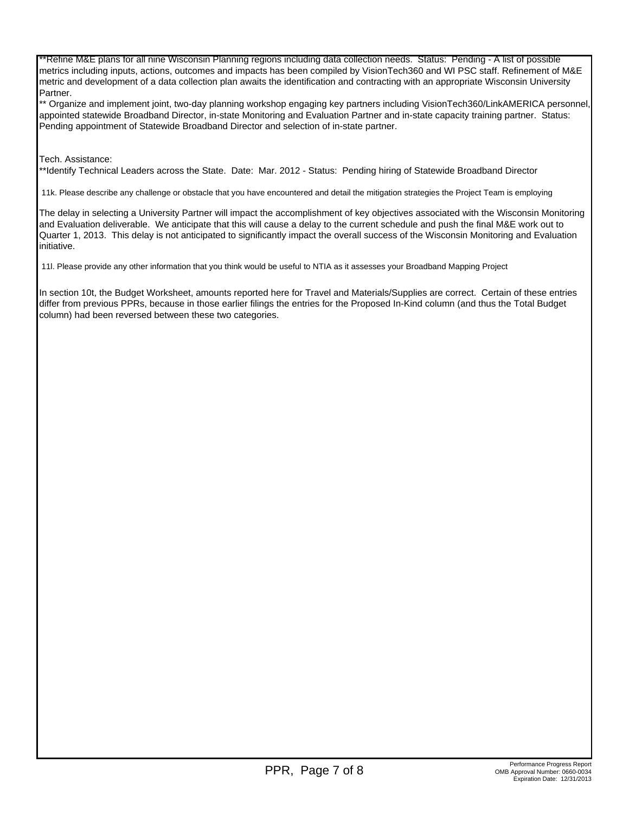\*\*Refine M&E plans for all nine Wisconsin Planning regions including data collection needs. Status: Pending - A list of possible metrics including inputs, actions, outcomes and impacts has been compiled by VisionTech360 and WI PSC staff. Refinement of M&E metric and development of a data collection plan awaits the identification and contracting with an appropriate Wisconsin University Partner.

\*\* Organize and implement joint, two-day planning workshop engaging key partners including VisionTech360/LinkAMERICA personnel, appointed statewide Broadband Director, in-state Monitoring and Evaluation Partner and in-state capacity training partner. Status: Pending appointment of Statewide Broadband Director and selection of in-state partner.

#### Tech. Assistance:

\*\*Identify Technical Leaders across the State. Date: Mar. 2012 - Status: Pending hiring of Statewide Broadband Director

11k. Please describe any challenge or obstacle that you have encountered and detail the mitigation strategies the Project Team is employing

The delay in selecting a University Partner will impact the accomplishment of key objectives associated with the Wisconsin Monitoring and Evaluation deliverable. We anticipate that this will cause a delay to the current schedule and push the final M&E work out to Quarter 1, 2013. This delay is not anticipated to significantly impact the overall success of the Wisconsin Monitoring and Evaluation initiative.

11l. Please provide any other information that you think would be useful to NTIA as it assesses your Broadband Mapping Project

In section 10t, the Budget Worksheet, amounts reported here for Travel and Materials/Supplies are correct. Certain of these entries differ from previous PPRs, because in those earlier filings the entries for the Proposed In-Kind column (and thus the Total Budget column) had been reversed between these two categories.